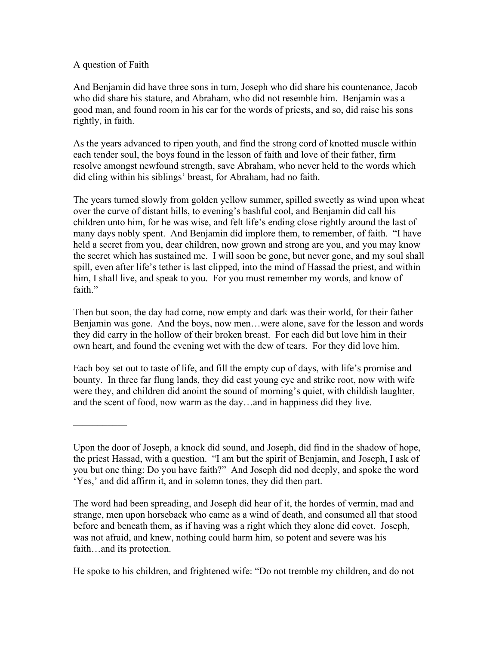## A question of Faith

–––––––––––

And Benjamin did have three sons in turn, Joseph who did share his countenance, Jacob who did share his stature, and Abraham, who did not resemble him. Benjamin was a good man, and found room in his ear for the words of priests, and so, did raise his sons rightly, in faith.

As the years advanced to ripen youth, and find the strong cord of knotted muscle within each tender soul, the boys found in the lesson of faith and love of their father, firm resolve amongst newfound strength, save Abraham, who never held to the words which did cling within his siblings' breast, for Abraham, had no faith.

The years turned slowly from golden yellow summer, spilled sweetly as wind upon wheat over the curve of distant hills, to evening's bashful cool, and Benjamin did call his children unto him, for he was wise, and felt life's ending close rightly around the last of many days nobly spent. And Benjamin did implore them, to remember, of faith. "I have held a secret from you, dear children, now grown and strong are you, and you may know the secret which has sustained me. I will soon be gone, but never gone, and my soul shall spill, even after life's tether is last clipped, into the mind of Hassad the priest, and within him, I shall live, and speak to you. For you must remember my words, and know of faith."

Then but soon, the day had come, now empty and dark was their world, for their father Benjamin was gone. And the boys, now men…were alone, save for the lesson and words they did carry in the hollow of their broken breast. For each did but love him in their own heart, and found the evening wet with the dew of tears. For they did love him.

Each boy set out to taste of life, and fill the empty cup of days, with life's promise and bounty. In three far flung lands, they did cast young eye and strike root, now with wife were they, and children did anoint the sound of morning's quiet, with childish laughter, and the scent of food, now warm as the day…and in happiness did they live.

The word had been spreading, and Joseph did hear of it, the hordes of vermin, mad and strange, men upon horseback who came as a wind of death, and consumed all that stood before and beneath them, as if having was a right which they alone did covet. Joseph, was not afraid, and knew, nothing could harm him, so potent and severe was his faith…and its protection.

He spoke to his children, and frightened wife: "Do not tremble my children, and do not

Upon the door of Joseph, a knock did sound, and Joseph, did find in the shadow of hope, the priest Hassad, with a question. "I am but the spirit of Benjamin, and Joseph, I ask of you but one thing: Do you have faith?" And Joseph did nod deeply, and spoke the word 'Yes,' and did affirm it, and in solemn tones, they did then part.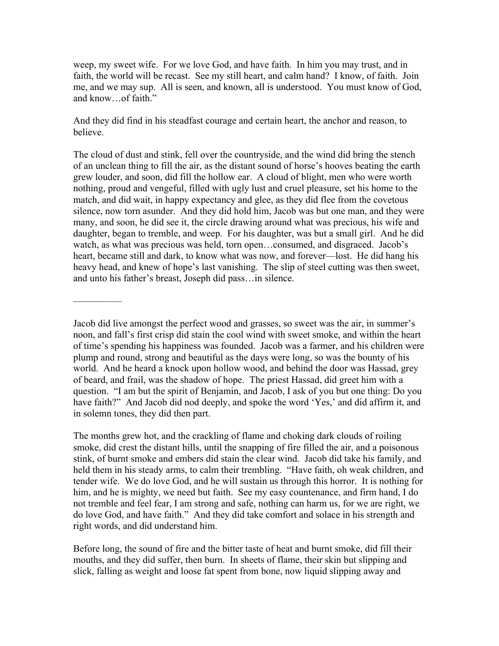weep, my sweet wife. For we love God, and have faith. In him you may trust, and in faith, the world will be recast. See my still heart, and calm hand? I know, of faith. Join me, and we may sup. All is seen, and known, all is understood. You must know of God, and know…of faith."

And they did find in his steadfast courage and certain heart, the anchor and reason, to believe.

The cloud of dust and stink, fell over the countryside, and the wind did bring the stench of an unclean thing to fill the air, as the distant sound of horse's hooves beating the earth grew louder, and soon, did fill the hollow ear. A cloud of blight, men who were worth nothing, proud and vengeful, filled with ugly lust and cruel pleasure, set his home to the match, and did wait, in happy expectancy and glee, as they did flee from the covetous silence, now torn asunder. And they did hold him, Jacob was but one man, and they were many, and soon, he did see it, the circle drawing around what was precious, his wife and daughter, began to tremble, and weep. For his daughter, was but a small girl. And he did watch, as what was precious was held, torn open…consumed, and disgraced. Jacob's heart, became still and dark, to know what was now, and forever—lost. He did hang his heavy head, and knew of hope's last vanishing. The slip of steel cutting was then sweet, and unto his father's breast, Joseph did pass…in silence.

Jacob did live amongst the perfect wood and grasses, so sweet was the air, in summer's noon, and fall's first crisp did stain the cool wind with sweet smoke, and within the heart of time's spending his happiness was founded. Jacob was a farmer, and his children were plump and round, strong and beautiful as the days were long, so was the bounty of his world. And he heard a knock upon hollow wood, and behind the door was Hassad, grey of beard, and frail, was the shadow of hope. The priest Hassad, did greet him with a question. "I am but the spirit of Benjamin, and Jacob, I ask of you but one thing: Do you have faith?" And Jacob did nod deeply, and spoke the word 'Yes,' and did affirm it, and in solemn tones, they did then part.

––––––––––

The months grew hot, and the crackling of flame and choking dark clouds of roiling smoke, did crest the distant hills, until the snapping of fire filled the air, and a poisonous stink, of burnt smoke and embers did stain the clear wind. Jacob did take his family, and held them in his steady arms, to calm their trembling. "Have faith, oh weak children, and tender wife. We do love God, and he will sustain us through this horror. It is nothing for him, and he is mighty, we need but faith. See my easy countenance, and firm hand, I do not tremble and feel fear, I am strong and safe, nothing can harm us, for we are right, we do love God, and have faith." And they did take comfort and solace in his strength and right words, and did understand him.

Before long, the sound of fire and the bitter taste of heat and burnt smoke, did fill their mouths, and they did suffer, then burn. In sheets of flame, their skin but slipping and slick, falling as weight and loose fat spent from bone, now liquid slipping away and